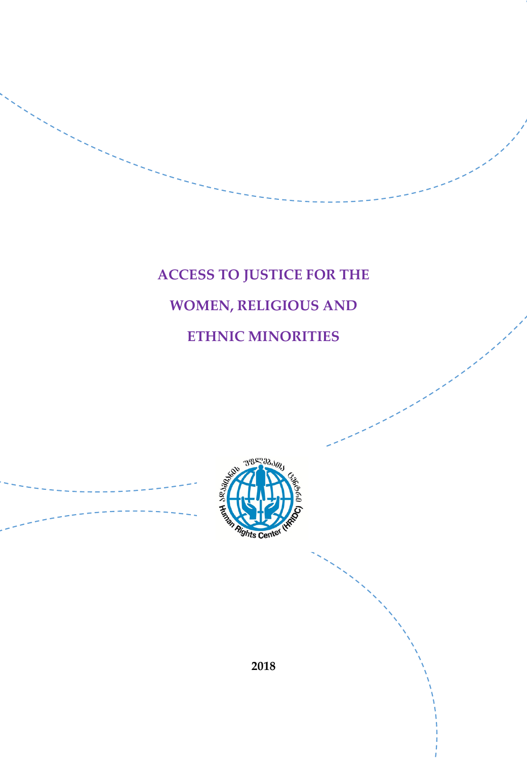# **ACCESS TO JUSTICE FOR THE**

## **WOMEN, RELIGIOUS AND**

## **ETHNIC MINORITIES**



**2018**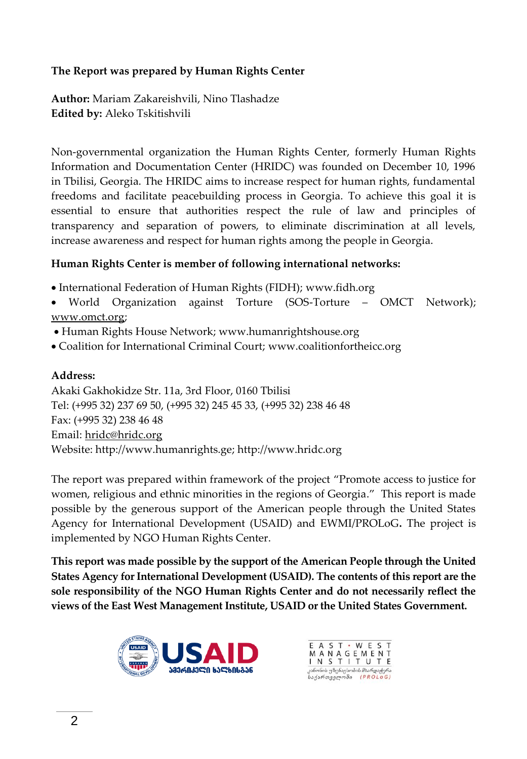#### **The Report was prepared by Human Rights Center**

**Author:** Mariam Zakareishvili, Nino Tlashadze **Edited by:** Aleko Tskitishvili

Non-governmental organization the Human Rights Center, formerly Human Rights Information and Documentation Center (HRIDC) was founded on December 10, 1996 in Tbilisi, Georgia. The HRIDC aims to increase respect for human rights, fundamental freedoms and facilitate peacebuilding process in Georgia. To achieve this goal it is essential to ensure that authorities respect the rule of law and principles of transparency and separation of powers, to eliminate discrimination at all levels, increase awareness and respect for human rights among the people in Georgia.

#### **Human Rights Center is member of following international networks:**

International Federation of Human Rights (FIDH); [www.fidh.org](http://www.fidh.org/) 

 World Organization against Torture (SOS-Torture – OMCT Network); [www.omct.org;](http://www.omct.org/)

- Human Rights House Network; [www.humanrightshouse.org](http://www.humanrightshouse.org/)
- Coalition for International Criminal Court; [www.coalitionfortheicc.org](http://www.coalitionfortheicc.org/)

#### **Address:**

Akaki Gakhokidze Str. 11a, 3rd Floor, 0160 Tbilisi Tel: (+995 32) 237 69 50, (+995 32) 245 45 33, (+995 32) 238 46 48 Fax: (+995 32) 238 46 48 Email[: hridc@hridc.org](mailto:hridc@hridc.org) Website: http://www.humanrights.ge; http://www.hridc.org

The report was prepared within framework of the project "Promote access to justice for women, religious and ethnic minorities in the regions of Georgia." This report is made possible by the generous support of the American people through the United States Agency for International Development (USAID) and EWMI/PROLoG**.** The project is implemented by NGO Human Rights Center.

**This report was made possible by the support of the American People through the United States Agency for International Development (USAID). The contents of this report are the sole responsibility of the NGO Human Rights Center and do not necessarily reflect the views of the East West Management Institute, USAID or the United States Government.**



E A S T · W E S T MANAGEMENT<br>INSTITUTE \_<br>კანონის უზენაესობის მხარდაჭერა<br>საქართველოში (PROLoG)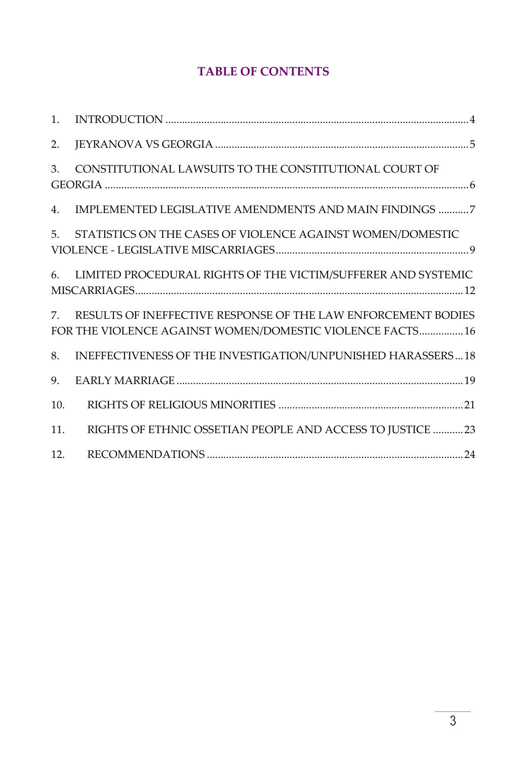## **TABLE OF CONTENTS**

| 1.              |                                                                                                                            |
|-----------------|----------------------------------------------------------------------------------------------------------------------------|
| 2.              |                                                                                                                            |
| 3.              | CONSTITUTIONAL LAWSUITS TO THE CONSTITUTIONAL COURT OF                                                                     |
| 4.              | IMPLEMENTED LEGISLATIVE AMENDMENTS AND MAIN FINDINGS 7                                                                     |
| 5.              | STATISTICS ON THE CASES OF VIOLENCE AGAINST WOMEN/DOMESTIC                                                                 |
| 6.              | LIMITED PROCEDURAL RIGHTS OF THE VICTIM/SUFFERER AND SYSTEMIC                                                              |
| $7^{\circ}$     | RESULTS OF INEFFECTIVE RESPONSE OF THE LAW ENFORCEMENT BODIES<br>FOR THE VIOLENCE AGAINST WOMEN/DOMESTIC VIOLENCE FACTS 16 |
| 8.              | INEFFECTIVENESS OF THE INVESTIGATION/UNPUNISHED HARASSERS 18                                                               |
| 9.              |                                                                                                                            |
| 10.             |                                                                                                                            |
| 11.             | RIGHTS OF ETHNIC OSSETIAN PEOPLE AND ACCESS TO JUSTICE 23                                                                  |
| 12 <sub>1</sub> |                                                                                                                            |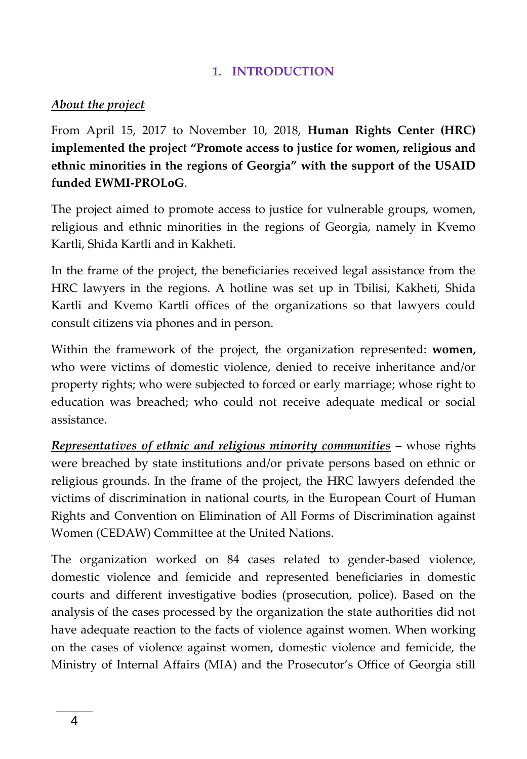#### **1. INTRODUCTION**

### <span id="page-3-0"></span>*About the project*

From April 15, 2017 to November 10, 2018, **Human Rights Center (HRC) implemented the project "Promote access to justice for women, religious and ethnic minorities in the regions of Georgia" with the support of the USAID funded EWMI-PROLoG**.

The project aimed to promote access to justice for vulnerable groups, women, religious and ethnic minorities in the regions of Georgia, namely in Kvemo Kartli, Shida Kartli and in Kakheti.

In the frame of the project, the beneficiaries received legal assistance from the HRC lawyers in the regions. A hotline was set up in Tbilisi, Kakheti, Shida Kartli and Kvemo Kartli offices of the organizations so that lawyers could consult citizens via phones and in person.

Within the framework of the project, the organization represented: **women,**  who were victims of domestic violence, denied to receive inheritance and/or property rights; who were subjected to forced or early marriage; whose right to education was breached; who could not receive adequate medical or social assistance.

*Representatives of ethnic and religious minority communities –* whose rights were breached by state institutions and/or private persons based on ethnic or religious grounds. In the frame of the project, the HRC lawyers defended the victims of discrimination in national courts, in the European Court of Human Rights and Convention on Elimination of All Forms of Discrimination against Women (CEDAW) Committee at the United Nations.

The organization worked on 84 cases related to gender-based violence, domestic violence and femicide and represented beneficiaries in domestic courts and different investigative bodies (prosecution, police). Based on the analysis of the cases processed by the organization the state authorities did not have adequate reaction to the facts of violence against women. When working on the cases of violence against women, domestic violence and femicide, the Ministry of Internal Affairs (MIA) and the Prosecutor's Office of Georgia still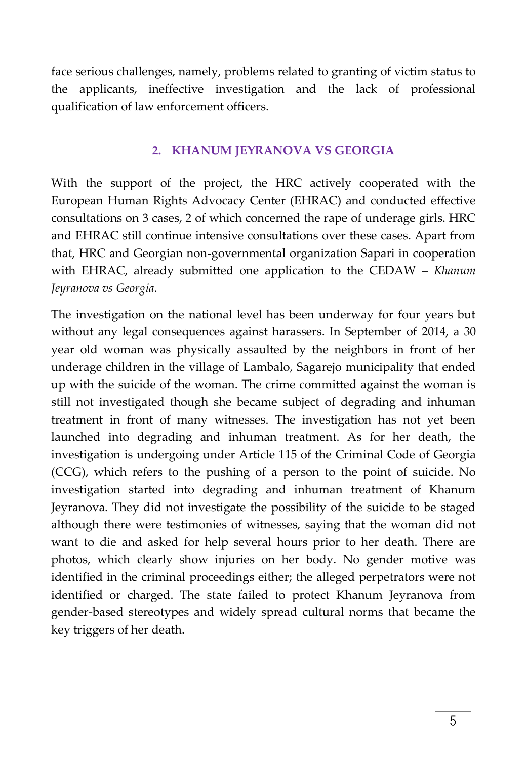face serious challenges, namely, problems related to granting of victim status to the applicants, ineffective investigation and the lack of professional qualification of law enforcement officers.

## **2. KHANUM JEYRANOVA VS GEORGIA**

<span id="page-4-0"></span>With the support of the project, the HRC actively cooperated with the European Human Rights Advocacy Center (EHRAC) and conducted effective consultations on 3 cases, 2 of which concerned the rape of underage girls. HRC and EHRAC still continue intensive consultations over these cases. Apart from that, HRC and Georgian non-governmental organization Sapari in cooperation with EHRAC, already submitted one application to the CEDAW – *Khanum Jeyranova vs Georgia*.

The investigation on the national level has been underway for four years but without any legal consequences against harassers. In September of 2014, a 30 year old woman was physically assaulted by the neighbors in front of her underage children in the village of Lambalo, Sagarejo municipality that ended up with the suicide of the woman. The crime committed against the woman is still not investigated though she became subject of degrading and inhuman treatment in front of many witnesses. The investigation has not yet been launched into degrading and inhuman treatment. As for her death, the investigation is undergoing under Article 115 of the Criminal Code of Georgia (CCG), which refers to the pushing of a person to the point of suicide. No investigation started into degrading and inhuman treatment of Khanum Jeyranova. They did not investigate the possibility of the suicide to be staged although there were testimonies of witnesses, saying that the woman did not want to die and asked for help several hours prior to her death. There are photos, which clearly show injuries on her body. No gender motive was identified in the criminal proceedings either; the alleged perpetrators were not identified or charged. The state failed to protect Khanum Jeyranova from gender-based stereotypes and widely spread cultural norms that became the key triggers of her death.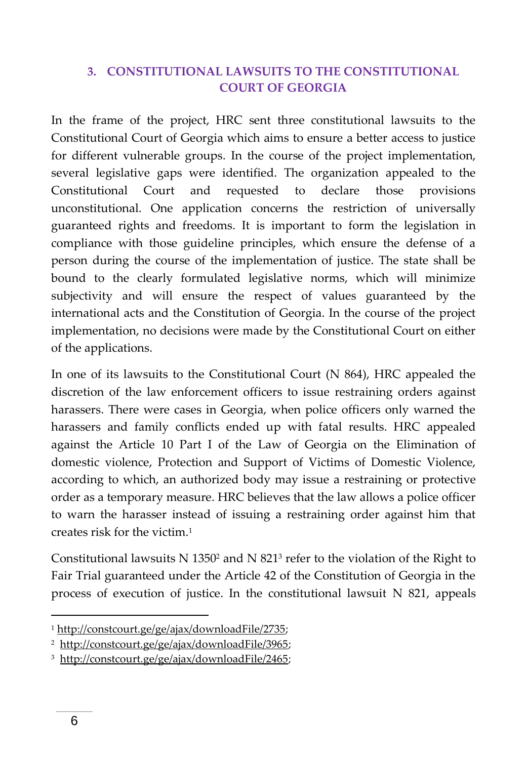## <span id="page-5-0"></span>**3. CONSTITUTIONAL LAWSUITS TO THE CONSTITUTIONAL COURT OF GEORGIA**

In the frame of the project, HRC sent three constitutional lawsuits to the Constitutional Court of Georgia which aims to ensure a better access to justice for different vulnerable groups. In the course of the project implementation, several legislative gaps were identified. The organization appealed to the Constitutional Court and requested to declare those provisions unconstitutional. One application concerns the restriction of universally guaranteed rights and freedoms. It is important to form the legislation in compliance with those guideline principles, which ensure the defense of a person during the course of the implementation of justice. The state shall be bound to the clearly formulated legislative norms, which will minimize subjectivity and will ensure the respect of values guaranteed by the international acts and the Constitution of Georgia. In the course of the project implementation, no decisions were made by the Constitutional Court on either of the applications.

In one of its lawsuits to the Constitutional Court (N 864), HRC appealed the discretion of the law enforcement officers to issue restraining orders against harassers. There were cases in Georgia, when police officers only warned the harassers and family conflicts ended up with fatal results. HRC appealed against the Article 10 Part I of the Law of Georgia on the Elimination of domestic violence, Protection and Support of Victims of Domestic Violence, according to which, an authorized body may issue a restraining or protective order as a temporary measure. HRC believes that the law allows a police officer to warn the harasser instead of issuing a restraining order against him that creates risk for the victim.<sup>1</sup>

Constitutional lawsuits N 1350<sup>2</sup> and N 821<sup>3</sup> refer to the violation of the Right to Fair Trial guaranteed under the Article 42 of the Constitution of Georgia in the process of execution of justice. In the constitutional lawsuit N 821, appeals

 $\ddot{\phantom{a}}$ 

<sup>1</sup> [http://constcourt.ge/ge/ajax/downloadFile/2735;](http://constcourt.ge/ge/ajax/downloadFile/2735)

<sup>&</sup>lt;sup>2</sup> http://constcourt.ge/ge/ajax/downloadFile/3965;

<sup>3</sup> [http://constcourt.ge/ge/ajax/downloadFile/2465;](http://constcourt.ge/ge/ajax/downloadFile/2465)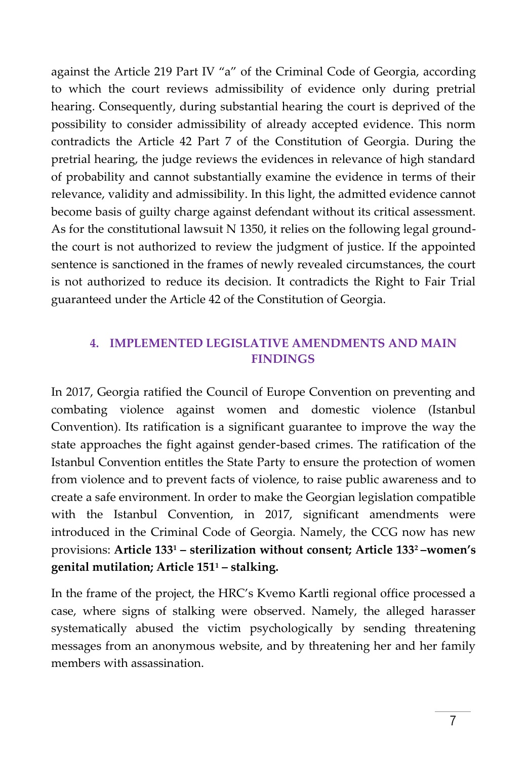against the Article 219 Part IV "a" of the Criminal Code of Georgia, according to which the court reviews admissibility of evidence only during pretrial hearing. Consequently, during substantial hearing the court is deprived of the possibility to consider admissibility of already accepted evidence. This norm contradicts the Article 42 Part 7 of the Constitution of Georgia. During the pretrial hearing, the judge reviews the evidences in relevance of high standard of probability and cannot substantially examine the evidence in terms of their relevance, validity and admissibility. In this light, the admitted evidence cannot become basis of guilty charge against defendant without its critical assessment. As for the constitutional lawsuit N 1350, it relies on the following legal groundthe court is not authorized to review the judgment of justice. If the appointed sentence is sanctioned in the frames of newly revealed circumstances, the court is not authorized to reduce its decision. It contradicts the Right to Fair Trial guaranteed under the Article 42 of the Constitution of Georgia.

## <span id="page-6-0"></span>**4. IMPLEMENTED LEGISLATIVE AMENDMENTS AND MAIN FINDINGS**

In 2017, Georgia ratified the Council of Europe Convention on preventing and combating violence against women and domestic violence (Istanbul Convention). Its ratification is a significant guarantee to improve the way the state approaches the fight against gender-based crimes. The ratification of the Istanbul Convention entitles the State Party to ensure the protection of women from violence and to prevent facts of violence, to raise public awareness and to create a safe environment. In order to make the Georgian legislation compatible with the Istanbul Convention, in 2017, significant amendments were introduced in the Criminal Code of Georgia. Namely, the CCG now has new provisions: **Article 133 <sup>1</sup> – sterilization without consent; Article 1332 –women's genital mutilation; Article 151<sup>1</sup> – stalking.** 

In the frame of the project, the HRC's Kvemo Kartli regional office processed a case, where signs of stalking were observed. Namely, the alleged harasser systematically abused the victim psychologically by sending threatening messages from an anonymous website, and by threatening her and her family members with assassination.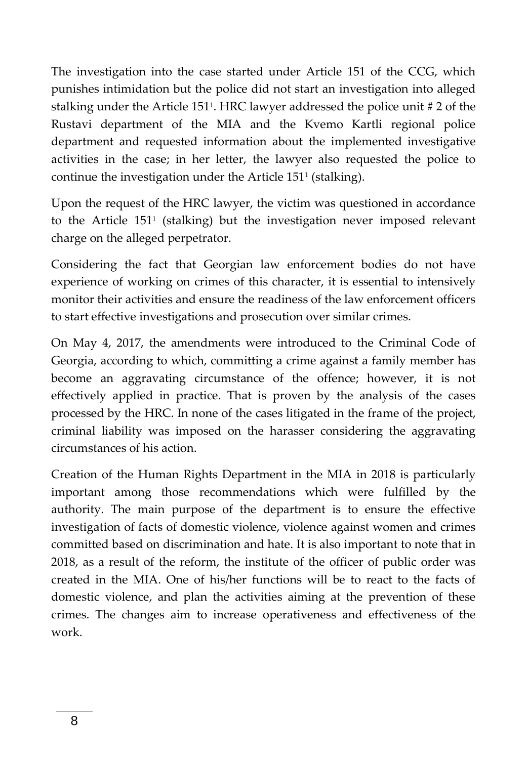The investigation into the case started under Article 151 of the CCG, which punishes intimidation but the police did not start an investigation into alleged stalking under the Article 151<sup>1</sup> . HRC lawyer addressed the police unit # 2 of the Rustavi department of the MIA and the Kvemo Kartli regional police department and requested information about the implemented investigative activities in the case; in her letter, the lawyer also requested the police to continue the investigation under the Article 151<sup>1</sup> (stalking).

Upon the request of the HRC lawyer, the victim was questioned in accordance to the Article 151<sup>1</sup> (stalking) but the investigation never imposed relevant charge on the alleged perpetrator.

Considering the fact that Georgian law enforcement bodies do not have experience of working on crimes of this character, it is essential to intensively monitor their activities and ensure the readiness of the law enforcement officers to start effective investigations and prosecution over similar crimes.

On May 4, 2017, the amendments were introduced to the Criminal Code of Georgia, according to which, committing a crime against a family member has become an aggravating circumstance of the offence; however, it is not effectively applied in practice. That is proven by the analysis of the cases processed by the HRC. In none of the cases litigated in the frame of the project, criminal liability was imposed on the harasser considering the aggravating circumstances of his action.

Creation of the Human Rights Department in the MIA in 2018 is particularly important among those recommendations which were fulfilled by the authority. The main purpose of the department is to ensure the effective investigation of facts of domestic violence, violence against women and crimes committed based on discrimination and hate. It is also important to note that in 2018, as a result of the reform, the institute of the officer of public order was created in the MIA. One of his/her functions will be to react to the facts of domestic violence, and plan the activities aiming at the prevention of these crimes. The changes aim to increase operativeness and effectiveness of the work.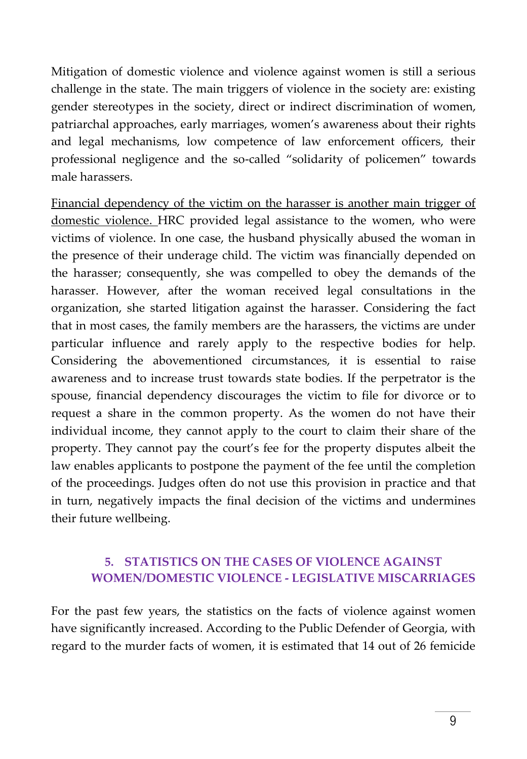Mitigation of domestic violence and violence against women is still a serious challenge in the state. The main triggers of violence in the society are: existing gender stereotypes in the society, direct or indirect discrimination of women, patriarchal approaches, early marriages, women's awareness about their rights and legal mechanisms, low competence of law enforcement officers, their professional negligence and the so-called "solidarity of policemen" towards male harassers.

Financial dependency of the victim on the harasser is another main trigger of domestic violence. HRC provided legal assistance to the women, who were victims of violence. In one case, the husband physically abused the woman in the presence of their underage child. The victim was financially depended on the harasser; consequently, she was compelled to obey the demands of the harasser. However, after the woman received legal consultations in the organization, she started litigation against the harasser. Considering the fact that in most cases, the family members are the harassers, the victims are under particular influence and rarely apply to the respective bodies for help. Considering the abovementioned circumstances, it is essential to raise awareness and to increase trust towards state bodies. If the perpetrator is the spouse, financial dependency discourages the victim to file for divorce or to request a share in the common property. As the women do not have their individual income, they cannot apply to the court to claim their share of the property. They cannot pay the court's fee for the property disputes albeit the law enables applicants to postpone the payment of the fee until the completion of the proceedings. Judges often do not use this provision in practice and that in turn, negatively impacts the final decision of the victims and undermines their future wellbeing.

### <span id="page-8-0"></span>**5. STATISTICS ON THE CASES OF VIOLENCE AGAINST WOMEN/DOMESTIC VIOLENCE - LEGISLATIVE MISCARRIAGES**

For the past few years, the statistics on the facts of violence against women have significantly increased. According to the Public Defender of Georgia, with regard to the murder facts of women, it is estimated that 14 out of 26 femicide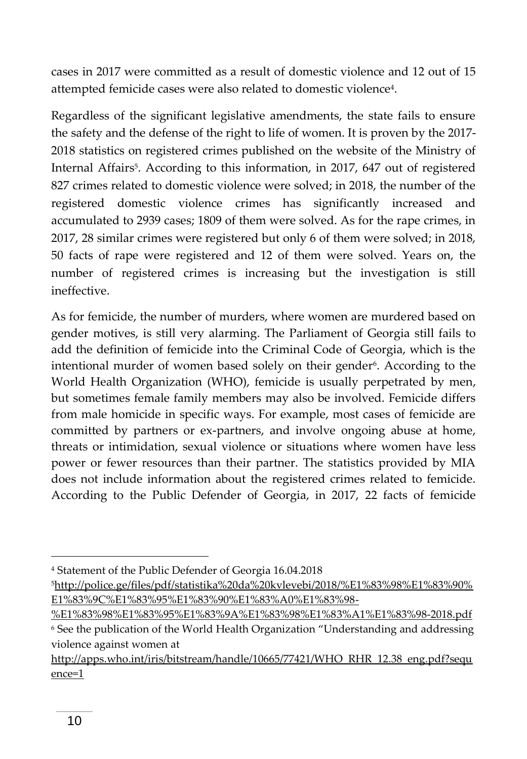cases in 2017 were committed as a result of domestic violence and 12 out of 15 attempted femicide cases were also related to domestic violence<sup>4</sup> .

Regardless of the significant legislative amendments, the state fails to ensure the safety and the defense of the right to life of women. It is proven by the 2017- 2018 statistics on registered crimes published on the website of the Ministry of Internal Affairs<sup>5</sup>. According to this information, in 2017, 647 out of registered 827 crimes related to domestic violence were solved; in 2018, the number of the registered domestic violence crimes has significantly increased and accumulated to 2939 cases; 1809 of them were solved. As for the rape crimes, in 2017, 28 similar crimes were registered but only 6 of them were solved; in 2018, 50 facts of rape were registered and 12 of them were solved. Years on, the number of registered crimes is increasing but the investigation is still ineffective.

As for femicide, the number of murders, where women are murdered based on gender motives, is still very alarming. The Parliament of Georgia still fails to add the definition of femicide into the Criminal Code of Georgia, which is the intentional murder of women based solely on their gender<sup>6</sup>. According to the World Health Organization (WHO), femicide is usually perpetrated by men, but sometimes female family members may also be involved. Femicide differs from male homicide in specific ways. For example, most cases of femicide are committed by partners or ex-partners, and involve ongoing abuse at home, threats or intimidation, sexual violence or situations where women have less power or fewer resources than their partner. The statistics provided by MIA does not include information about the registered crimes related to femicide. According to the Public Defender of Georgia, in 2017, 22 facts of femicide

 $\ddot{\phantom{a}}$ 

<sup>4</sup> Statement of the Public Defender of Georgia 16.04.2018

<sup>5</sup>[http://police.ge/files/pdf/statistika%20da%20kvlevebi/2018/%E1%83%98%E1%83%90%](http://police.ge/files/pdf/statistika%20da%20kvlevebi/2018/%E1%83%98%E1%83%90%E1%83%9C%E1%83%95%E1%83%90%E1%83%A0%E1%83%98-%E1%83%98%E1%83%95%E1%83%9A%E1%83%98%E1%83%A1%E1%83%98-2018.pdf) [E1%83%9C%E1%83%95%E1%83%90%E1%83%A0%E1%83%98-](http://police.ge/files/pdf/statistika%20da%20kvlevebi/2018/%E1%83%98%E1%83%90%E1%83%9C%E1%83%95%E1%83%90%E1%83%A0%E1%83%98-%E1%83%98%E1%83%95%E1%83%9A%E1%83%98%E1%83%A1%E1%83%98-2018.pdf)

[<sup>%</sup>E1%83%98%E1%83%95%E1%83%9A%E1%83%98%E1%83%A1%E1%83%98-2018.pdf](http://police.ge/files/pdf/statistika%20da%20kvlevebi/2018/%E1%83%98%E1%83%90%E1%83%9C%E1%83%95%E1%83%90%E1%83%A0%E1%83%98-%E1%83%98%E1%83%95%E1%83%9A%E1%83%98%E1%83%A1%E1%83%98-2018.pdf) <sup>6</sup> See the publication of the World Health Organization "Understanding and addressing violence against women at

[http://apps.who.int/iris/bitstream/handle/10665/77421/WHO\\_RHR\\_12.38\\_eng.pdf?sequ](http://apps.who.int/iris/bitstream/handle/10665/77421/WHO_RHR_12.38_eng.pdf?sequence=1) [ence=1](http://apps.who.int/iris/bitstream/handle/10665/77421/WHO_RHR_12.38_eng.pdf?sequence=1)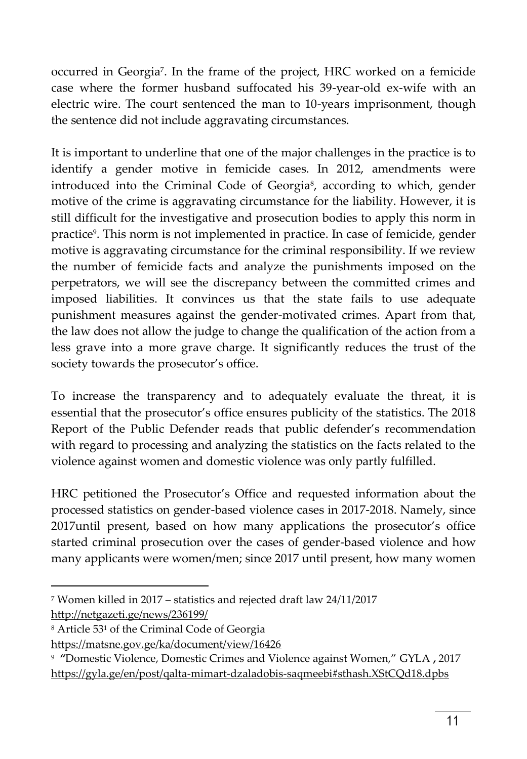occurred in Georgia<sup>7</sup> . In the frame of the project, HRC worked on a femicide case where the former husband suffocated his 39-year-old ex-wife with an electric wire. The court sentenced the man to 10-years imprisonment, though the sentence did not include aggravating circumstances.

It is important to underline that one of the major challenges in the practice is to identify a gender motive in femicide cases. In 2012, amendments were introduced into the Criminal Code of Georgia<sup>8</sup> , according to which, gender motive of the crime is aggravating circumstance for the liability. However, it is still difficult for the investigative and prosecution bodies to apply this norm in practice<sup>9</sup>. This norm is not implemented in practice. In case of femicide, gender motive is aggravating circumstance for the criminal responsibility. If we review the number of femicide facts and analyze the punishments imposed on the perpetrators, we will see the discrepancy between the committed crimes and imposed liabilities. It convinces us that the state fails to use adequate punishment measures against the gender-motivated crimes. Apart from that, the law does not allow the judge to change the qualification of the action from a less grave into a more grave charge. It significantly reduces the trust of the society towards the prosecutor's office.

To increase the transparency and to adequately evaluate the threat, it is essential that the prosecutor's office ensures publicity of the statistics. The 2018 Report of the Public Defender reads that public defender's recommendation with regard to processing and analyzing the statistics on the facts related to the violence against women and domestic violence was only partly fulfilled.

HRC petitioned the Prosecutor's Office and requested information about the processed statistics on gender-based violence cases in 2017-2018. Namely, since 2017until present, based on how many applications the prosecutor's office started criminal prosecution over the cases of gender-based violence and how many applicants were women/men; since 2017 until present, how many women

 $\ddot{\phantom{a}}$ 

<sup>7</sup> Women killed in 2017 – statistics and rejected draft law 24/11/2017 <http://netgazeti.ge/news/236199/>

<sup>8</sup> Article 53<sup>1</sup> of the Criminal Code of Georgia

<https://matsne.gov.ge/ka/document/view/16426>

<sup>9</sup> **"**Domestic Violence, Domestic Crimes and Violence against Women," GYLA **,** 2017 <https://gyla.ge/en/post/qalta-mimart-dzaladobis-saqmeebi#sthash.XStCQd18.dpbs>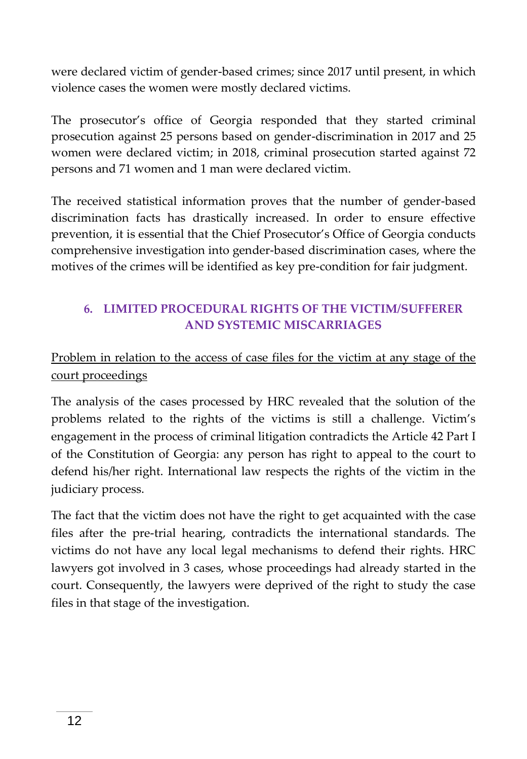were declared victim of gender-based crimes; since 2017 until present, in which violence cases the women were mostly declared victims.

The prosecutor's office of Georgia responded that they started criminal prosecution against 25 persons based on gender-discrimination in 2017 and 25 women were declared victim; in 2018, criminal prosecution started against 72 persons and 71 women and 1 man were declared victim.

The received statistical information proves that the number of gender-based discrimination facts has drastically increased. In order to ensure effective prevention, it is essential that the Chief Prosecutor's Office of Georgia conducts comprehensive investigation into gender-based discrimination cases, where the motives of the crimes will be identified as key pre-condition for fair judgment.

## <span id="page-11-0"></span>**6. LIMITED PROCEDURAL RIGHTS OF THE VICTIM/SUFFERER AND SYSTEMIC MISCARRIAGES**

Problem in relation to the access of case files for the victim at any stage of the court proceedings

The analysis of the cases processed by HRC revealed that the solution of the problems related to the rights of the victims is still a challenge. Victim's engagement in the process of criminal litigation contradicts the Article 42 Part I of the Constitution of Georgia: any person has right to appeal to the court to defend his/her right. International law respects the rights of the victim in the judiciary process.

The fact that the victim does not have the right to get acquainted with the case files after the pre-trial hearing, contradicts the international standards. The victims do not have any local legal mechanisms to defend their rights. HRC lawyers got involved in 3 cases, whose proceedings had already started in the court. Consequently, the lawyers were deprived of the right to study the case files in that stage of the investigation.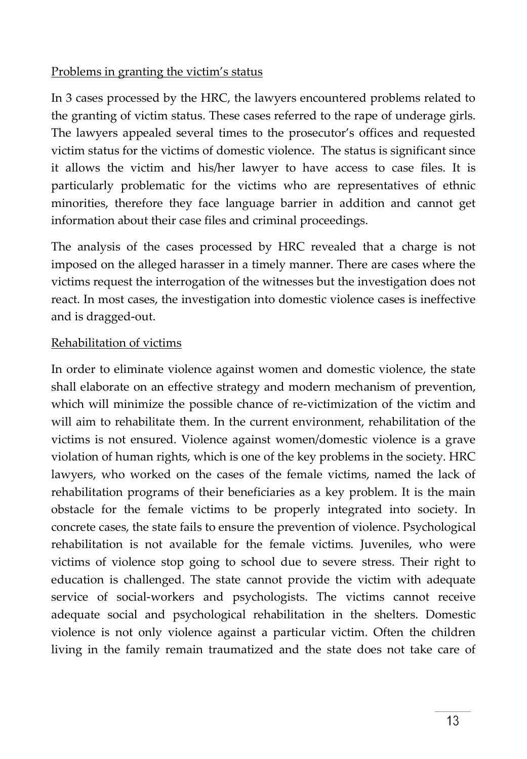#### Problems in granting the victim's status

In 3 cases processed by the HRC, the lawyers encountered problems related to the granting of victim status. These cases referred to the rape of underage girls. The lawyers appealed several times to the prosecutor's offices and requested victim status for the victims of domestic violence. The status is significant since it allows the victim and his/her lawyer to have access to case files. It is particularly problematic for the victims who are representatives of ethnic minorities, therefore they face language barrier in addition and cannot get information about their case files and criminal proceedings.

The analysis of the cases processed by HRC revealed that a charge is not imposed on the alleged harasser in a timely manner. There are cases where the victims request the interrogation of the witnesses but the investigation does not react. In most cases, the investigation into domestic violence cases is ineffective and is dragged-out.

#### Rehabilitation of victims

In order to eliminate violence against women and domestic violence, the state shall elaborate on an effective strategy and modern mechanism of prevention, which will minimize the possible chance of re-victimization of the victim and will aim to rehabilitate them. In the current environment, rehabilitation of the victims is not ensured. Violence against women/domestic violence is a grave violation of human rights, which is one of the key problems in the society. HRC lawyers, who worked on the cases of the female victims, named the lack of rehabilitation programs of their beneficiaries as a key problem. It is the main obstacle for the female victims to be properly integrated into society. In concrete cases, the state fails to ensure the prevention of violence. Psychological rehabilitation is not available for the female victims. Juveniles, who were victims of violence stop going to school due to severe stress. Their right to education is challenged. The state cannot provide the victim with adequate service of social-workers and psychologists. The victims cannot receive adequate social and psychological rehabilitation in the shelters. Domestic violence is not only violence against a particular victim. Often the children living in the family remain traumatized and the state does not take care of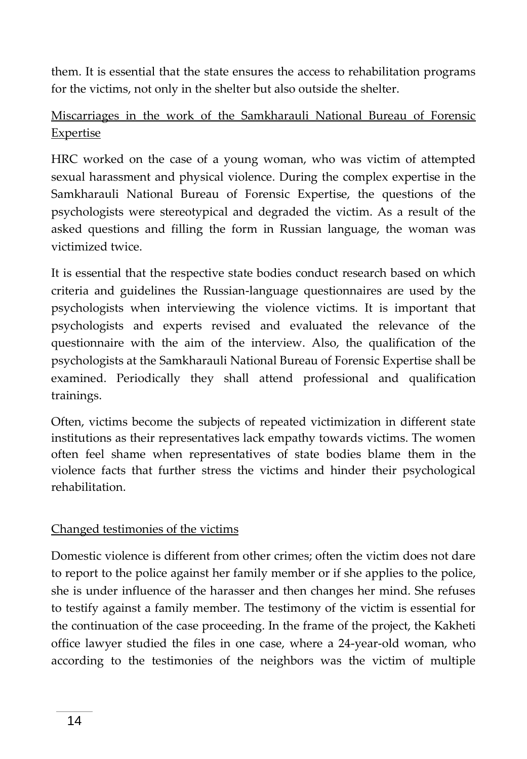them. It is essential that the state ensures the access to rehabilitation programs for the victims, not only in the shelter but also outside the shelter.

## Miscarriages in the work of the Samkharauli National Bureau of Forensic Expertise

HRC worked on the case of a young woman, who was victim of attempted sexual harassment and physical violence. During the complex expertise in the Samkharauli National Bureau of Forensic Expertise, the questions of the psychologists were stereotypical and degraded the victim. As a result of the asked questions and filling the form in Russian language, the woman was victimized twice.

It is essential that the respective state bodies conduct research based on which criteria and guidelines the Russian-language questionnaires are used by the psychologists when interviewing the violence victims. It is important that psychologists and experts revised and evaluated the relevance of the questionnaire with the aim of the interview. Also, the qualification of the psychologists at the Samkharauli National Bureau of Forensic Expertise shall be examined. Periodically they shall attend professional and qualification trainings.

Often, victims become the subjects of repeated victimization in different state institutions as their representatives lack empathy towards victims. The women often feel shame when representatives of state bodies blame them in the violence facts that further stress the victims and hinder their psychological rehabilitation.

#### Changed testimonies of the victims

Domestic violence is different from other crimes; often the victim does not dare to report to the police against her family member or if she applies to the police, she is under influence of the harasser and then changes her mind. She refuses to testify against a family member. The testimony of the victim is essential for the continuation of the case proceeding. In the frame of the project, the Kakheti office lawyer studied the files in one case, where a 24-year-old woman, who according to the testimonies of the neighbors was the victim of multiple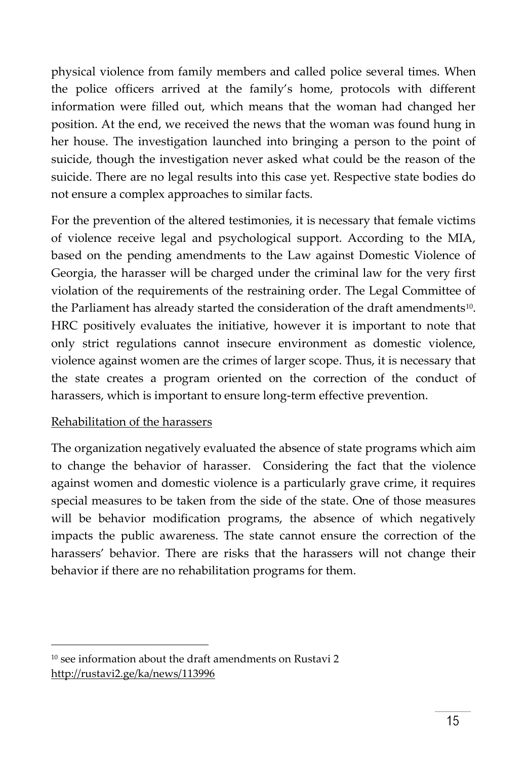physical violence from family members and called police several times. When the police officers arrived at the family's home, protocols with different information were filled out, which means that the woman had changed her position. At the end, we received the news that the woman was found hung in her house. The investigation launched into bringing a person to the point of suicide, though the investigation never asked what could be the reason of the suicide. There are no legal results into this case yet. Respective state bodies do not ensure a complex approaches to similar facts.

For the prevention of the altered testimonies, it is necessary that female victims of violence receive legal and psychological support. According to the MIA, based on the pending amendments to the Law against Domestic Violence of Georgia, the harasser will be charged under the criminal law for the very first violation of the requirements of the restraining order. The Legal Committee of the Parliament has already started the consideration of the draft amendments $^{10}$ . HRC positively evaluates the initiative, however it is important to note that only strict regulations cannot insecure environment as domestic violence, violence against women are the crimes of larger scope. Thus, it is necessary that the state creates a program oriented on the correction of the conduct of harassers, which is important to ensure long-term effective prevention.

#### Rehabilitation of the harassers

 $\overline{a}$ 

The organization negatively evaluated the absence of state programs which aim to change the behavior of harasser. Considering the fact that the violence against women and domestic violence is a particularly grave crime, it requires special measures to be taken from the side of the state. One of those measures will be behavior modification programs, the absence of which negatively impacts the public awareness. The state cannot ensure the correction of the harassers' behavior. There are risks that the harassers will not change their behavior if there are no rehabilitation programs for them.

<sup>10</sup> see information about the draft amendments on Rustavi 2 <http://rustavi2.ge/ka/news/113996>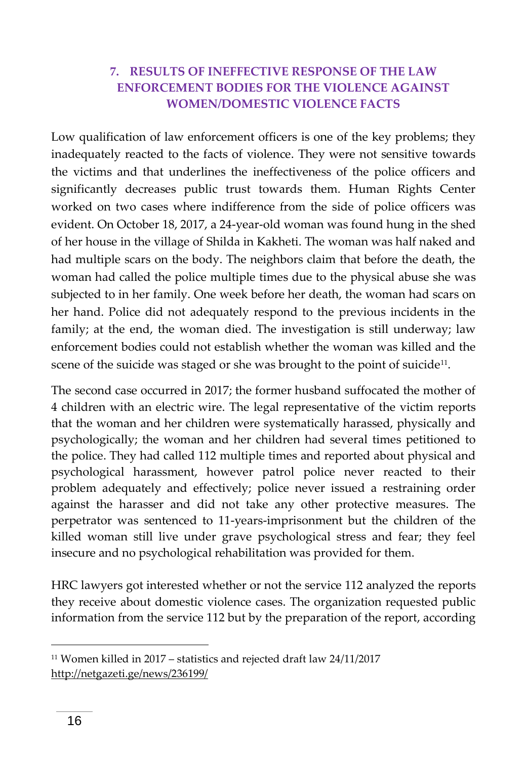## <span id="page-15-0"></span>**7. RESULTS OF INEFFECTIVE RESPONSE OF THE LAW ENFORCEMENT BODIES FOR THE VIOLENCE AGAINST WOMEN/DOMESTIC VIOLENCE FACTS**

Low qualification of law enforcement officers is one of the key problems; they inadequately reacted to the facts of violence. They were not sensitive towards the victims and that underlines the ineffectiveness of the police officers and significantly decreases public trust towards them. Human Rights Center worked on two cases where indifference from the side of police officers was evident. On October 18, 2017, a 24-year-old woman was found hung in the shed of her house in the village of Shilda in Kakheti. The woman was half naked and had multiple scars on the body. The neighbors claim that before the death, the woman had called the police multiple times due to the physical abuse she was subjected to in her family. One week before her death, the woman had scars on her hand. Police did not adequately respond to the previous incidents in the family; at the end, the woman died. The investigation is still underway; law enforcement bodies could not establish whether the woman was killed and the scene of the suicide was staged or she was brought to the point of suicide $^{\rm 11}.$ 

The second case occurred in 2017; the former husband suffocated the mother of 4 children with an electric wire. The legal representative of the victim reports that the woman and her children were systematically harassed, physically and psychologically; the woman and her children had several times petitioned to the police. They had called 112 multiple times and reported about physical and psychological harassment, however patrol police never reacted to their problem adequately and effectively; police never issued a restraining order against the harasser and did not take any other protective measures. The perpetrator was sentenced to 11-years-imprisonment but the children of the killed woman still live under grave psychological stress and fear; they feel insecure and no psychological rehabilitation was provided for them.

HRC lawyers got interested whether or not the service 112 analyzed the reports they receive about domestic violence cases. The organization requested public information from the service 112 but by the preparation of the report, according

 $\overline{a}$ 

<sup>11</sup> Women killed in 2017 – statistics and rejected draft law 24/11/2017 <http://netgazeti.ge/news/236199/>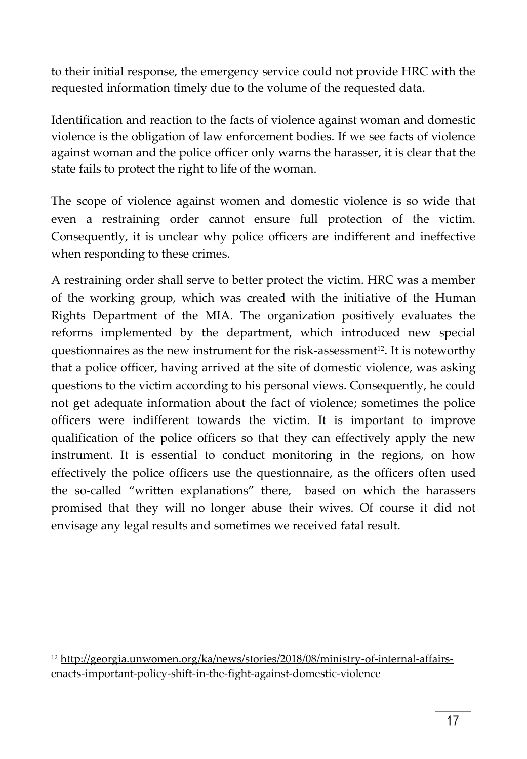to their initial response, the emergency service could not provide HRC with the requested information timely due to the volume of the requested data.

Identification and reaction to the facts of violence against woman and domestic violence is the obligation of law enforcement bodies. If we see facts of violence against woman and the police officer only warns the harasser, it is clear that the state fails to protect the right to life of the woman.

The scope of violence against women and domestic violence is so wide that even a restraining order cannot ensure full protection of the victim. Consequently, it is unclear why police officers are indifferent and ineffective when responding to these crimes.

A restraining order shall serve to better protect the victim. HRC was a member of the working group, which was created with the initiative of the Human Rights Department of the MIA. The organization positively evaluates the reforms implemented by the department, which introduced new special questionnaires as the new instrument for the risk-assessment12. It is noteworthy that a police officer, having arrived at the site of domestic violence, was asking questions to the victim according to his personal views. Consequently, he could not get adequate information about the fact of violence; sometimes the police officers were indifferent towards the victim. It is important to improve qualification of the police officers so that they can effectively apply the new instrument. It is essential to conduct monitoring in the regions, on how effectively the police officers use the questionnaire, as the officers often used the so-called "written explanations" there, based on which the harassers promised that they will no longer abuse their wives. Of course it did not envisage any legal results and sometimes we received fatal result.

 $\overline{a}$ 

<sup>12</sup> [http://georgia.unwomen.org/ka/news/stories/2018/08/ministry-of-internal-affairs](http://georgia.unwomen.org/ka/news/stories/2018/08/ministry-of-internal-affairs-enacts-important-policy-shift-in-the-fight-against-domestic-violence)[enacts-important-policy-shift-in-the-fight-against-domestic-violence](http://georgia.unwomen.org/ka/news/stories/2018/08/ministry-of-internal-affairs-enacts-important-policy-shift-in-the-fight-against-domestic-violence)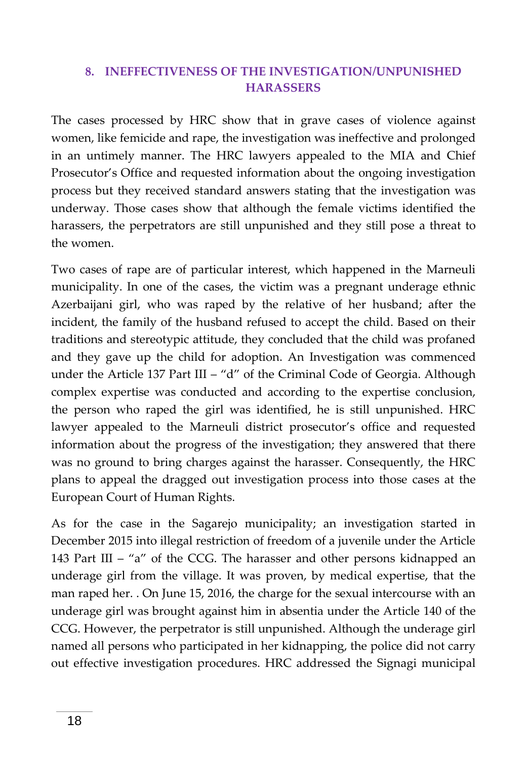## <span id="page-17-0"></span>**8. INEFFECTIVENESS OF THE INVESTIGATION/UNPUNISHED HARASSERS**

The cases processed by HRC show that in grave cases of violence against women, like femicide and rape, the investigation was ineffective and prolonged in an untimely manner. The HRC lawyers appealed to the MIA and Chief Prosecutor's Office and requested information about the ongoing investigation process but they received standard answers stating that the investigation was underway. Those cases show that although the female victims identified the harassers, the perpetrators are still unpunished and they still pose a threat to the women.

Two cases of rape are of particular interest, which happened in the Marneuli municipality. In one of the cases, the victim was a pregnant underage ethnic Azerbaijani girl, who was raped by the relative of her husband; after the incident, the family of the husband refused to accept the child. Based on their traditions and stereotypic attitude, they concluded that the child was profaned and they gave up the child for adoption. An Investigation was commenced under the Article 137 Part III – " $d$ " of the Criminal Code of Georgia. Although complex expertise was conducted and according to the expertise conclusion, the person who raped the girl was identified, he is still unpunished. HRC lawyer appealed to the Marneuli district prosecutor's office and requested information about the progress of the investigation; they answered that there was no ground to bring charges against the harasser. Consequently, the HRC plans to appeal the dragged out investigation process into those cases at the European Court of Human Rights.

As for the case in the Sagarejo municipality; an investigation started in December 2015 into illegal restriction of freedom of a juvenile under the Article 143 Part III – "a" of the CCG. The harasser and other persons kidnapped an underage girl from the village. It was proven, by medical expertise, that the man raped her. . On June 15, 2016, the charge for the sexual intercourse with an underage girl was brought against him in absentia under the Article 140 of the CCG. However, the perpetrator is still unpunished. Although the underage girl named all persons who participated in her kidnapping, the police did not carry out effective investigation procedures. HRC addressed the Signagi municipal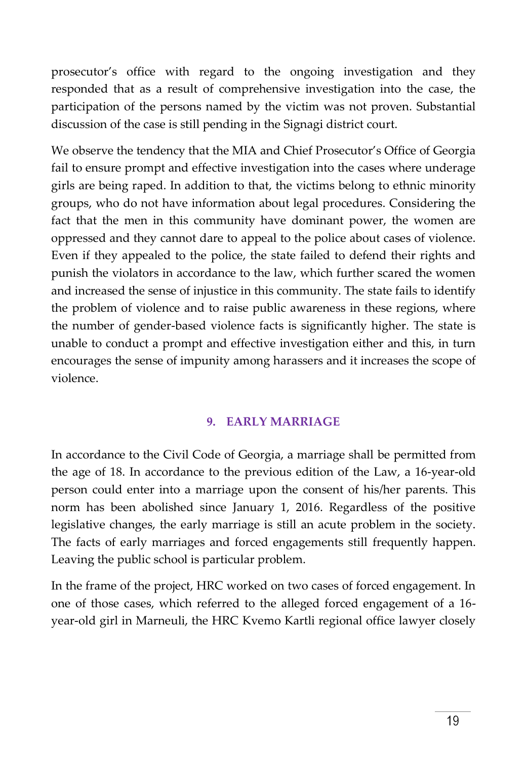prosecutor's office with regard to the ongoing investigation and they responded that as a result of comprehensive investigation into the case, the participation of the persons named by the victim was not proven. Substantial discussion of the case is still pending in the Signagi district court.

We observe the tendency that the MIA and Chief Prosecutor's Office of Georgia fail to ensure prompt and effective investigation into the cases where underage girls are being raped. In addition to that, the victims belong to ethnic minority groups, who do not have information about legal procedures. Considering the fact that the men in this community have dominant power, the women are oppressed and they cannot dare to appeal to the police about cases of violence. Even if they appealed to the police, the state failed to defend their rights and punish the violators in accordance to the law, which further scared the women and increased the sense of injustice in this community. The state fails to identify the problem of violence and to raise public awareness in these regions, where the number of gender-based violence facts is significantly higher. The state is unable to conduct a prompt and effective investigation either and this, in turn encourages the sense of impunity among harassers and it increases the scope of violence.

#### **9. EARLY MARRIAGE**

<span id="page-18-0"></span>In accordance to the Civil Code of Georgia, a marriage shall be permitted from the age of 18. In accordance to the previous edition of the Law, a 16-year-old person could enter into a marriage upon the consent of his/her parents. This norm has been abolished since January 1, 2016. Regardless of the positive legislative changes, the early marriage is still an acute problem in the society. The facts of early marriages and forced engagements still frequently happen. Leaving the public school is particular problem.

In the frame of the project, HRC worked on two cases of forced engagement. In one of those cases, which referred to the alleged forced engagement of a 16 year-old girl in Marneuli, the HRC Kvemo Kartli regional office lawyer closely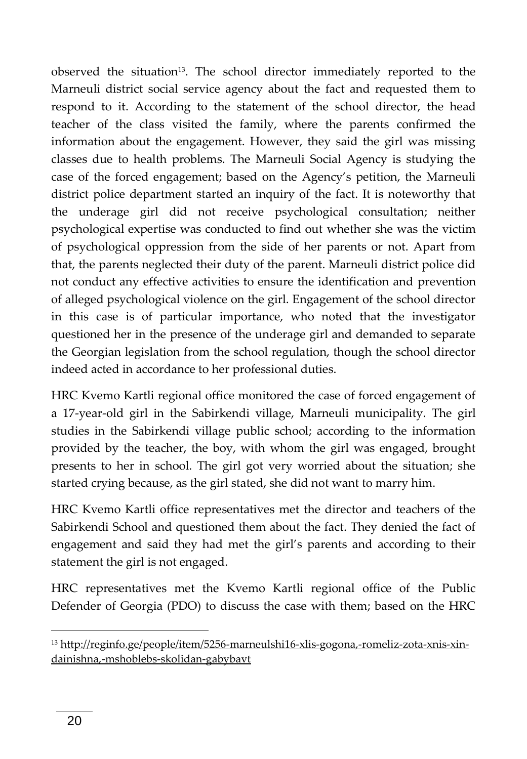observed the situation13. The school director immediately reported to the Marneuli district social service agency about the fact and requested them to respond to it. According to the statement of the school director, the head teacher of the class visited the family, where the parents confirmed the information about the engagement. However, they said the girl was missing classes due to health problems. The Marneuli Social Agency is studying the case of the forced engagement; based on the Agency's petition, the Marneuli district police department started an inquiry of the fact. It is noteworthy that the underage girl did not receive psychological consultation; neither psychological expertise was conducted to find out whether she was the victim of psychological oppression from the side of her parents or not. Apart from that, the parents neglected their duty of the parent. Marneuli district police did not conduct any effective activities to ensure the identification and prevention of alleged psychological violence on the girl. Engagement of the school director in this case is of particular importance, who noted that the investigator questioned her in the presence of the underage girl and demanded to separate the Georgian legislation from the school regulation, though the school director indeed acted in accordance to her professional duties.

HRC Kvemo Kartli regional office monitored the case of forced engagement of a 17-year-old girl in the Sabirkendi village, Marneuli municipality. The girl studies in the Sabirkendi village public school; according to the information provided by the teacher, the boy, with whom the girl was engaged, brought presents to her in school. The girl got very worried about the situation; she started crying because, as the girl stated, she did not want to marry him.

HRC Kvemo Kartli office representatives met the director and teachers of the Sabirkendi School and questioned them about the fact. They denied the fact of engagement and said they had met the girl's parents and according to their statement the girl is not engaged.

HRC representatives met the Kvemo Kartli regional office of the Public Defender of Georgia (PDO) to discuss the case with them; based on the HRC

 $\overline{a}$ 

<sup>13</sup> [http://reginfo.ge/people/item/5256-marneulshi16-xlis-gogona,-romeliz-zota-xnis-xin](http://reginfo.ge/people/item/5256-marneulshi16-xlis-gogona,-romeliz-zota-xnis-xin-dainishna,-mshoblebs-skolidan-gabybavt)[dainishna,-mshoblebs-skolidan-gabybavt](http://reginfo.ge/people/item/5256-marneulshi16-xlis-gogona,-romeliz-zota-xnis-xin-dainishna,-mshoblebs-skolidan-gabybavt)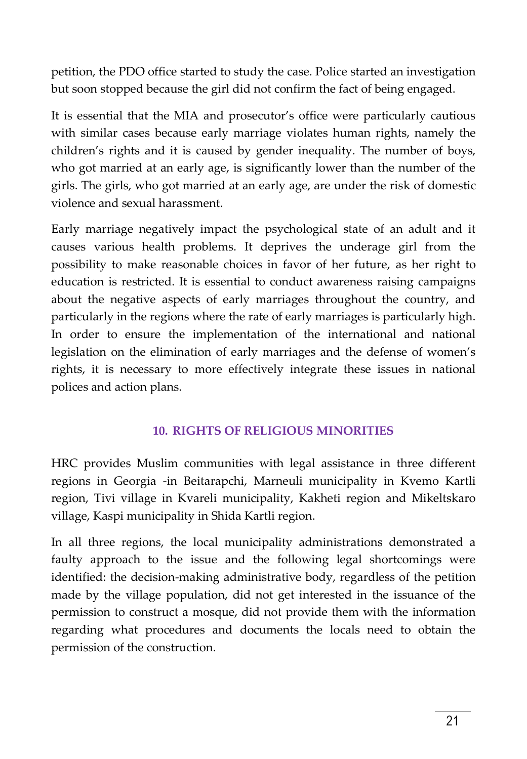petition, the PDO office started to study the case. Police started an investigation but soon stopped because the girl did not confirm the fact of being engaged.

It is essential that the MIA and prosecutor's office were particularly cautious with similar cases because early marriage violates human rights, namely the children's rights and it is caused by gender inequality. The number of boys, who got married at an early age, is significantly lower than the number of the girls. The girls, who got married at an early age, are under the risk of domestic violence and sexual harassment.

Early marriage negatively impact the psychological state of an adult and it causes various health problems. It deprives the underage girl from the possibility to make reasonable choices in favor of her future, as her right to education is restricted. It is essential to conduct awareness raising campaigns about the negative aspects of early marriages throughout the country, and particularly in the regions where the rate of early marriages is particularly high. In order to ensure the implementation of the international and national legislation on the elimination of early marriages and the defense of women's rights, it is necessary to more effectively integrate these issues in national polices and action plans.

#### **10. RIGHTS OF RELIGIOUS MINORITIES**

<span id="page-20-0"></span>HRC provides Muslim communities with legal assistance in three different regions in Georgia -in Beitarapchi, Marneuli municipality in Kvemo Kartli region, Tivi village in Kvareli municipality, Kakheti region and Mikeltskaro village, Kaspi municipality in Shida Kartli region.

In all three regions, the local municipality administrations demonstrated a faulty approach to the issue and the following legal shortcomings were identified: the decision-making administrative body, regardless of the petition made by the village population, did not get interested in the issuance of the permission to construct a mosque, did not provide them with the information regarding what procedures and documents the locals need to obtain the permission of the construction.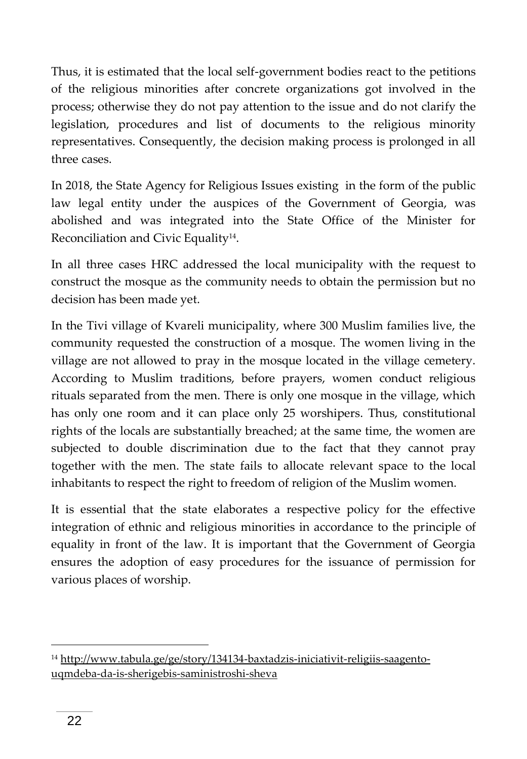Thus, it is estimated that the local self-government bodies react to the petitions of the religious minorities after concrete organizations got involved in the process; otherwise they do not pay attention to the issue and do not clarify the legislation, procedures and list of documents to the religious minority representatives. Consequently, the decision making process is prolonged in all three cases.

In 2018, the State Agency for Religious Issues existing in the form of the public law legal entity under the auspices of the Government of Georgia, was abolished and was integrated into the State Office of the Minister for Reconciliation and Civic Equality<sup>14</sup> .

In all three cases HRC addressed the local municipality with the request to construct the mosque as the community needs to obtain the permission but no decision has been made yet.

In the Tivi village of Kvareli municipality, where 300 Muslim families live, the community requested the construction of a mosque. The women living in the village are not allowed to pray in the mosque located in the village cemetery. According to Muslim traditions, before prayers, women conduct religious rituals separated from the men. There is only one mosque in the village, which has only one room and it can place only 25 worshipers. Thus, constitutional rights of the locals are substantially breached; at the same time, the women are subjected to double discrimination due to the fact that they cannot pray together with the men. The state fails to allocate relevant space to the local inhabitants to respect the right to freedom of religion of the Muslim women.

It is essential that the state elaborates a respective policy for the effective integration of ethnic and religious minorities in accordance to the principle of equality in front of the law. It is important that the Government of Georgia ensures the adoption of easy procedures for the issuance of permission for various places of worship.

 $\overline{a}$ 

<sup>14</sup> [http://www.tabula.ge/ge/story/134134-baxtadzis-iniciativit-religiis-saagento](http://www.tabula.ge/ge/story/134134-baxtadzis-iniciativit-religiis-saagento-uqmdeba-da-is-sherigebis-saministroshi-sheva)[uqmdeba-da-is-sherigebis-saministroshi-sheva](http://www.tabula.ge/ge/story/134134-baxtadzis-iniciativit-religiis-saagento-uqmdeba-da-is-sherigebis-saministroshi-sheva)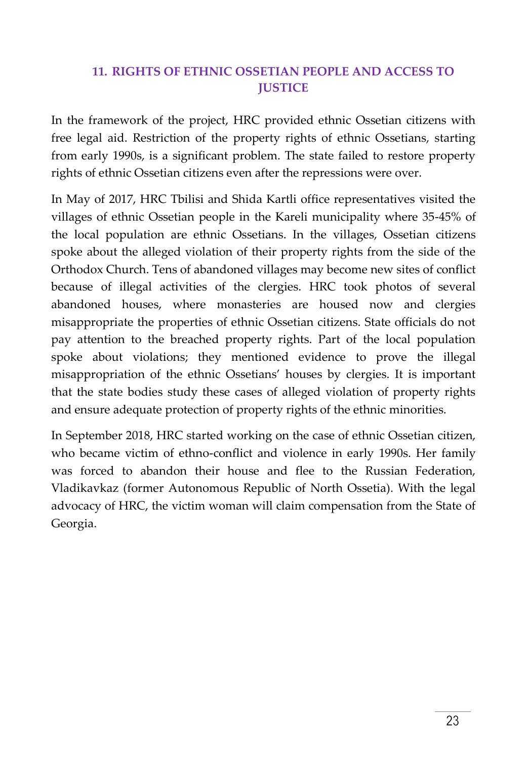## <span id="page-22-0"></span>**11. RIGHTS OF ETHNIC OSSETIAN PEOPLE AND ACCESS TO JUSTICE**

In the framework of the project, HRC provided ethnic Ossetian citizens with free legal aid. Restriction of the property rights of ethnic Ossetians, starting from early 1990s, is a significant problem. The state failed to restore property rights of ethnic Ossetian citizens even after the repressions were over.

In May of 2017, HRC Tbilisi and Shida Kartli office representatives visited the villages of ethnic Ossetian people in the Kareli municipality where 35-45% of the local population are ethnic Ossetians. In the villages, Ossetian citizens spoke about the alleged violation of their property rights from the side of the Orthodox Church. Tens of abandoned villages may become new sites of conflict because of illegal activities of the clergies. HRC took photos of several abandoned houses, where monasteries are housed now and clergies misappropriate the properties of ethnic Ossetian citizens. State officials do not pay attention to the breached property rights. Part of the local population spoke about violations; they mentioned evidence to prove the illegal misappropriation of the ethnic Ossetians' houses by clergies. It is important that the state bodies study these cases of alleged violation of property rights and ensure adequate protection of property rights of the ethnic minorities.

In September 2018, HRC started working on the case of ethnic Ossetian citizen, who became victim of ethno-conflict and violence in early 1990s. Her family was forced to abandon their house and flee to the Russian Federation, Vladikavkaz (former Autonomous Republic of North Ossetia). With the legal advocacy of HRC, the victim woman will claim compensation from the State of Georgia.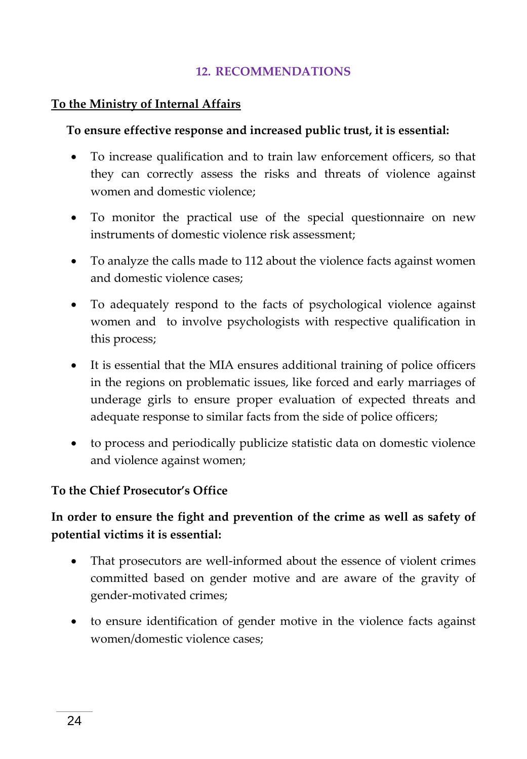#### **12. RECOMMENDATIONS**

#### <span id="page-23-0"></span>**To the Ministry of Internal Affairs**

#### **To ensure effective response and increased public trust, it is essential:**

- To increase qualification and to train law enforcement officers, so that they can correctly assess the risks and threats of violence against women and domestic violence;
- To monitor the practical use of the special questionnaire on new instruments of domestic violence risk assessment;
- To analyze the calls made to 112 about the violence facts against women and domestic violence cases;
- To adequately respond to the facts of psychological violence against women and to involve psychologists with respective qualification in this process;
- It is essential that the MIA ensures additional training of police officers in the regions on problematic issues, like forced and early marriages of underage girls to ensure proper evaluation of expected threats and adequate response to similar facts from the side of police officers;
- to process and periodically publicize statistic data on domestic violence and violence against women;

#### **To the Chief Prosecutor's Office**

## **In order to ensure the fight and prevention of the crime as well as safety of potential victims it is essential:**

- That prosecutors are well-informed about the essence of violent crimes committed based on gender motive and are aware of the gravity of gender-motivated crimes;
- to ensure identification of gender motive in the violence facts against women/domestic violence cases;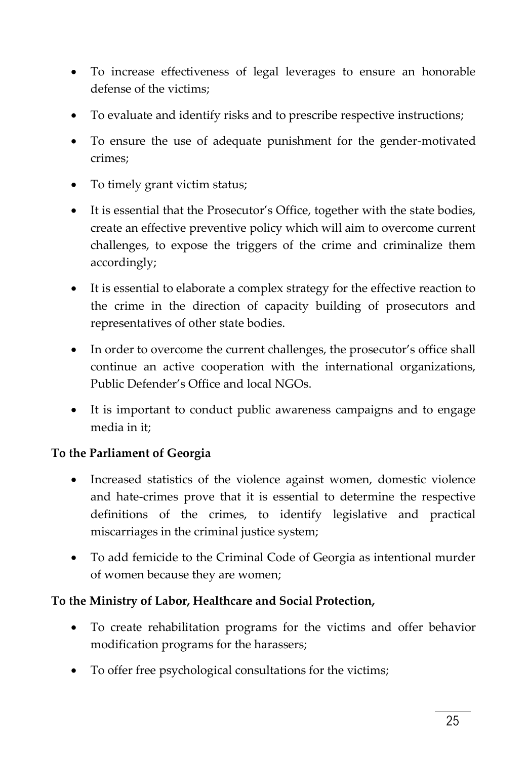- To increase effectiveness of legal leverages to ensure an honorable defense of the victims;
- To evaluate and identify risks and to prescribe respective instructions;
- To ensure the use of adequate punishment for the gender-motivated crimes;
- To timely grant victim status;
- It is essential that the Prosecutor's Office, together with the state bodies, create an effective preventive policy which will aim to overcome current challenges, to expose the triggers of the crime and criminalize them accordingly;
- It is essential to elaborate a complex strategy for the effective reaction to the crime in the direction of capacity building of prosecutors and representatives of other state bodies.
- In order to overcome the current challenges, the prosecutor's office shall continue an active cooperation with the international organizations, Public Defender's Office and local NGOs.
- It is important to conduct public awareness campaigns and to engage media in it;

#### **To the Parliament of Georgia**

- Increased statistics of the violence against women, domestic violence and hate-crimes prove that it is essential to determine the respective definitions of the crimes, to identify legislative and practical miscarriages in the criminal justice system;
- To add femicide to the Criminal Code of Georgia as intentional murder of women because they are women;

#### **To the Ministry of Labor, Healthcare and Social Protection,**

- To create rehabilitation programs for the victims and offer behavior modification programs for the harassers;
- To offer free psychological consultations for the victims;